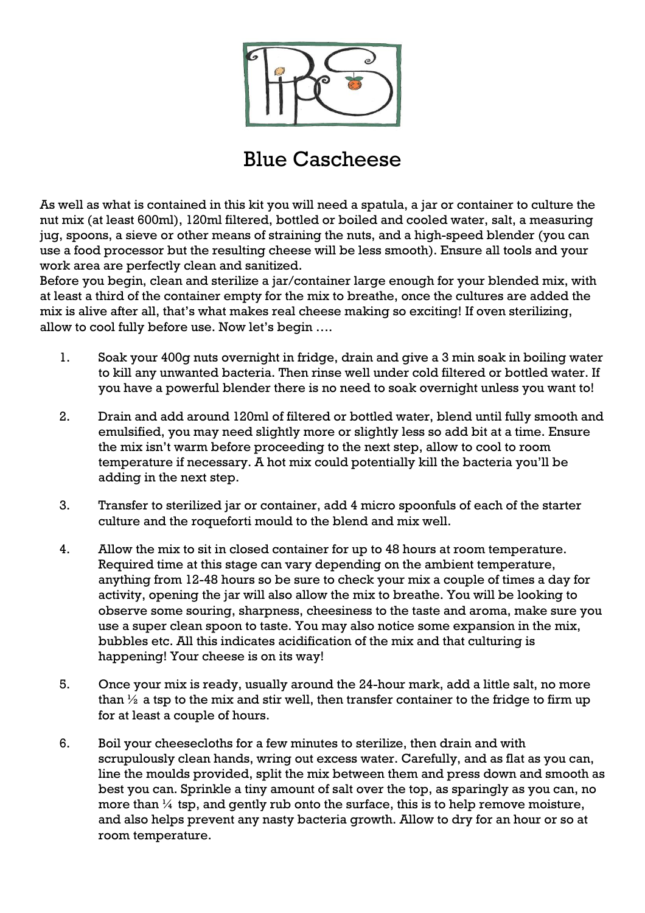

## Blue Cascheese

As well as what is contained in this kit you will need a spatula, a jar or container to culture the nut mix (at least 600ml), 120ml filtered, bottled or boiled and cooled water, salt, a measuring jug, spoons, a sieve or other means of straining the nuts, and a high-speed blender (you can use a food processor but the resulting cheese will be less smooth). Ensure all tools and your work area are perfectly clean and sanitized.

Before you begin, clean and sterilize a jar/container large enough for your blended mix, with at least a third of the container empty for the mix to breathe, once the cultures are added the mix is alive after all, that's what makes real cheese making so exciting! If oven sterilizing, allow to cool fully before use. Now let's begin ….

- 1. Soak your 400g nuts overnight in fridge, drain and give a 3 min soak in boiling water to kill any unwanted bacteria. Then rinse well under cold filtered or bottled water. If you have a powerful blender there is no need to soak overnight unless you want to!
- 2. Drain and add around 120ml of filtered or bottled water, blend until fully smooth and emulsified, you may need slightly more or slightly less so add bit at a time. Ensure the mix isn't warm before proceeding to the next step, allow to cool to room temperature if necessary. A hot mix could potentially kill the bacteria you'll be adding in the next step.
- 3. Transfer to sterilized jar or container, add 4 micro spoonfuls of each of the starter culture and the roqueforti mould to the blend and mix well.
- 4. Allow the mix to sit in closed container for up to 48 hours at room temperature. Required time at this stage can vary depending on the ambient temperature, anything from 12-48 hours so be sure to check your mix a couple of times a day for activity, opening the jar will also allow the mix to breathe. You will be looking to observe some souring, sharpness, cheesiness to the taste and aroma, make sure you use a super clean spoon to taste. You may also notice some expansion in the mix, bubbles etc. All this indicates acidification of the mix and that culturing is happening! Your cheese is on its way!
- 5. Once your mix is ready, usually around the 24-hour mark, add a little salt, no more than  $\frac{1}{2}$  a tsp to the mix and stir well, then transfer container to the fridge to firm up for at least a couple of hours.
- 6. Boil your cheesecloths for a few minutes to sterilize, then drain and with scrupulously clean hands, wring out excess water. Carefully, and as flat as you can, line the moulds provided, split the mix between them and press down and smooth as best you can. Sprinkle a tiny amount of salt over the top, as sparingly as you can, no more than  $\frac{1}{4}$  tsp, and gently rub onto the surface, this is to help remove moisture, and also helps prevent any nasty bacteria growth. Allow to dry for an hour or so at room temperature.